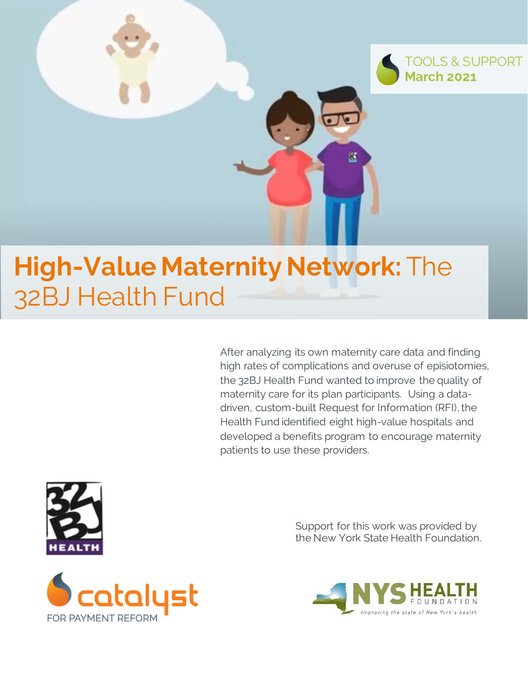

# **High-Value Maternity Network:** The 32BJ Health Fund

After analyzing its own maternity care data and finding high rates of complications and overuse of episiotomies, the 32BJ Health Fund wanted to improve the quality of maternity care for its plan participants. Using a datadriven, custom-built Request for Information (RFI), the Health Fund identified eight high-value hospitals and developed a benefits program to encourage maternity patients to use these providers.



Support for this work was provided by the New York State Health Foundation.



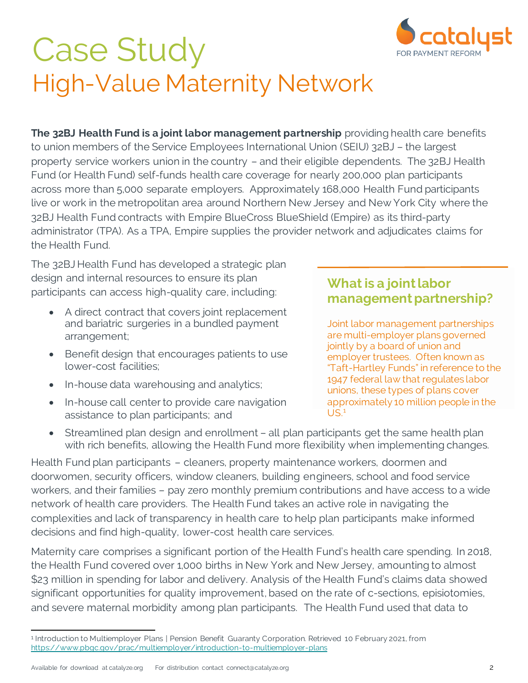

# Case Study High-Value Maternity Network

**The 32BJ Health Fund is a joint labor management partnership** providing health care benefits to union members of the Service Employees International Union (SEIU) 32BJ – the largest property service workers union in the country – and their eligible dependents. The 32BJ Health Fund (or Health Fund) self-funds health care coverage for nearly 200,000 plan participants across more than 5,000 separate employers. Approximately 168,000 Health Fund participants live or work in the metropolitan area around Northern New Jersey and New York City where the 32BJ Health Fund contracts with Empire BlueCross BlueShield (Empire) as its third-party administrator (TPA). As a TPA, Empire supplies the provider network and adjudicates claims for the Health Fund.

The 32BJ Health Fund has developed a strategic plan design and internal resources to ensure its plan participants can access high-quality care, including: 1

- A direct contract that covers joint replacement and bariatric surgeries in a bundled payment arrangement;
- Benefit design that encourages patients to use lower-cost facilities;
- In-house data warehousing and analytics;
- In-house call center to provide care navigation assistance to plan participants; and

#### **What is a joint labor management partnership?**

Joint labor management partnerships are multi-employer plans governed jointly by a board of union and employer trustees. Often known as "Taft-Hartley Funds" in reference to the 1947 federal law that regulates labor unions, these types of plans cover approximately 10 million people in the  $US<sup>1</sup>$ 

• Streamlined plan design and enrollment – all plan participants get the same health plan with rich benefits, allowing the Health Fund more flexibility when implementing changes.

Health Fund plan participants – cleaners, property maintenance workers, doormen and doorwomen, security officers, window cleaners, building engineers, school and food service workers, and their families – pay zero monthly premium contributions and have access to a wide network of health care providers. The Health Fund takes an active role in navigating the complexities and lack of transparency in health care to help plan participants make informed decisions and find high-quality, lower-cost health care services.

Maternity care comprises a significant portion of the Health Fund's health care spending. In 2018, the Health Fund covered over 1,000 births in New York and New Jersey, amounting to almost \$23 million in spending for labor and delivery. Analysis of the Health Fund's claims data showed significant opportunities for quality improvement, based on the rate of c-sections, episiotomies, and severe maternal morbidity among plan participants. The Health Fund used that data to

<sup>1</sup> Introduction to Multiemployer Plans | Pension Benefit Guaranty Corporation. Retrieved 10 February 2021, from <https://www.pbgc.gov/prac/multiemployer/introduction-to-multiemployer-plans>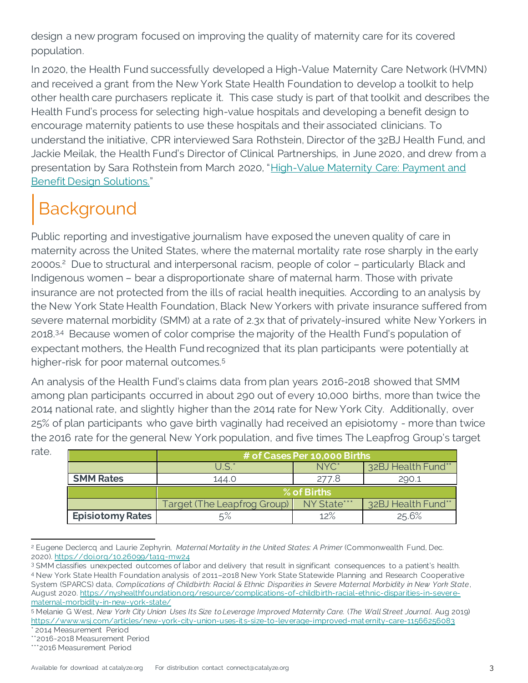design a new program focused on improving the quality of maternity care for its covered population.

In 2020, the Health Fund successfully developed a High-Value Maternity Care Network (HVMN) and received a grant from the New York State Health Foundation to develop a toolkit to help other health care purchasers replicate it. This case study is part of that toolkit and describes the Health Fund's process for selecting high-value hospitals and developing a benefit design to encourage maternity patients to use these hospitals and their associated clinicians. To understand the initiative, CPR interviewed Sara Rothstein, Director of the 32BJ Health Fund, and Jackie Meilak, the Health Fund's Director of Clinical Partnerships, in June 2020, and drew from a presentation by Sara Rothstein from March 2020, "[High-Value Maternity Care: Payment and](https://www.catalyze.org/product/maternity-payment-benefit-design-solutions/)  [Benefit Design Solutions.](https://www.catalyze.org/product/maternity-payment-benefit-design-solutions/)"

# Background

Public reporting and investigative journalism have exposed the uneven quality of care in maternity across the United States, where the maternal mortality rate rose sharply in the early 2000s. <sup>2</sup> Due to structural and interpersonal racism, people of color – particularly Black and Indigenous women – bear a disproportionate share of maternal harm. Those with private insurance are not protected from the ills of racial health inequities. According to an analysis by the New York State Health Foundation, Black New Yorkers with private insurance suffered from severe maternal morbidity (SMM) at a rate of 2.3x that of privately-insured white New Yorkers in 2018.<sup>3,4</sup> Because women of color comprise the majority of the Health Fund's population of expectant mothers, the Health Fund recognized that its plan participants were potentially at higher-risk for poor maternal outcomes.<sup>5</sup>

An analysis of the Health Fund's claims data from plan years 2016-2018 showed that SMM among plan participants occurred in about 290 out of every 10,000 births, more than twice the 2014 national rate, and slightly higher than the 2014 rate for New York City. Additionally, over 25% of plan participants who gave birth vaginally had received an episiotomy - more than twice the 2016 rate for the general New York population, and five times The Leapfrog Group's target

|                         | # of Cases Per 10,000 Births |                  |                    |
|-------------------------|------------------------------|------------------|--------------------|
|                         | $U$ S <sup>*</sup>           | NYC <sup>*</sup> | 32BJ Health Fund** |
| <b>SMM Rates</b>        | 144.0                        | 277.8            | 290.1              |
|                         | $%$ of Births                |                  |                    |
|                         | Target (The Leapfrog Group)  | NY State***      | 32BJ Health Fund** |
| <b>Episiotomy Rates</b> |                              | 12%              | 25.6%              |

<sup>2</sup> Eugene Declercq and Laurie Zephyrin, *Maternal Mortality in the United States: A Primer* (Commonwealth Fund, Dec. 2020). <https://doi.org/10.26099/ta1q-mw24>

rate.

<sup>3</sup> SMM classifies unexpected outcomes of labor and delivery that result in significant consequences to a patient's health. <sup>4</sup> New York State Health Foundation analysis of 2011–2018 New York State Statewide Planning and Research Cooperative System (SPARCS) data, *Complications of Childbirth: Racial & Ethnic Disparities in Severe Maternal Morbidity in New York State*, August 2020[. https://nyshealthfoundation.org/resource/complications-of-childbirth-racial-ethnic-disparities-in-severe](https://nyshealthfoundation.org/resource/complications-of-childbirth-racial-ethnic-disparities-in-severe-maternal-morbidity-in-new-york-state/)[maternal-morbidity-in-new-york-state/](https://nyshealthfoundation.org/resource/complications-of-childbirth-racial-ethnic-disparities-in-severe-maternal-morbidity-in-new-york-state/)

<sup>5</sup> Melanie G West, *New York City Union Uses Its Size to Leverage Improved Maternity Care.* (*The Wall Street Journal*. Aug 2019) <https://www.wsj.com/articles/new-york-city-union-uses-its-size-to-leverage-improved-maternity-care-11566256083> \* 2014 Measurement Period

<sup>\*\*2016-2018</sup> Measurement Period

<sup>\*\*\*2016</sup> Measurement Period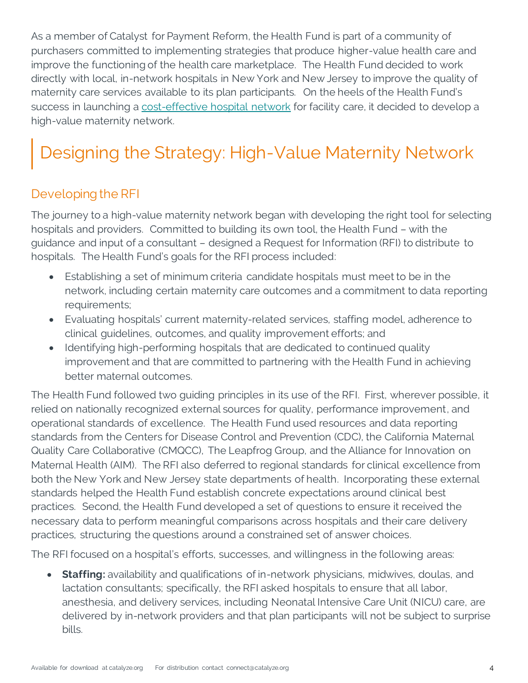As a member of Catalyst for Payment Reform, the Health Fund is part of a community of purchasers committed to implementing strategies that produce higher-value health care and improve the functioning of the health care marketplace. The Health Fund decided to work directly with local, in-network hospitals in New York and New Jersey to improve the quality of maternity care services available to its plan participants. On the heels of the Health Fund's success in launching a [cost-effective hospital network](https://www.catalyze.org/product/health-fund-hospital-prices/) for facility care, it decided to develop a high-value maternity network.

## Designing the Strategy: High-Value Maternity Network

#### Developing the RFI

The journey to a high-value maternity network began with developing the right tool for selecting hospitals and providers. Committed to building its own tool, the Health Fund – with the guidance and input of a consultant – designed a Request for Information (RFI) to distribute to hospitals. The Health Fund's goals for the RFI process included:

- Establishing a set of minimum criteria candidate hospitals must meet to be in the network, including certain maternity care outcomes and a commitment to data reporting requirements;
- Evaluating hospitals' current maternity-related services, staffing model, adherence to clinical guidelines, outcomes, and quality improvement efforts; and
- Identifying high-performing hospitals that are dedicated to continued quality improvement and that are committed to partnering with the Health Fund in achieving better maternal outcomes.

The Health Fund followed two guiding principles in its use of the RFI. First, wherever possible, it relied on nationally recognized external sources for quality, performance improvement, and operational standards of excellence. The Health Fund used resources and data reporting standards from the Centers for Disease Control and Prevention (CDC), the California Maternal Quality Care Collaborative (CMQCC), The Leapfrog Group, and the Alliance for Innovation on Maternal Health (AIM). The RFI also deferred to regional standards for clinical excellence from both the New York and New Jersey state departments of health. Incorporating these external standards helped the Health Fund establish concrete expectations around clinical best practices. Second, the Health Fund developed a set of questions to ensure it received the necessary data to perform meaningful comparisons across hospitals and their care delivery practices, structuring the questions around a constrained set of answer choices.

The RFI focused on a hospital's efforts, successes, and willingness in the following areas:

• **Staffing:** availability and qualifications of in-network physicians, midwives, doulas, and lactation consultants; specifically, the RFI asked hospitals to ensure that all labor, anesthesia, and delivery services, including Neonatal Intensive Care Unit (NICU) care, are delivered by in-network providers and that plan participants will not be subject to surprise bills.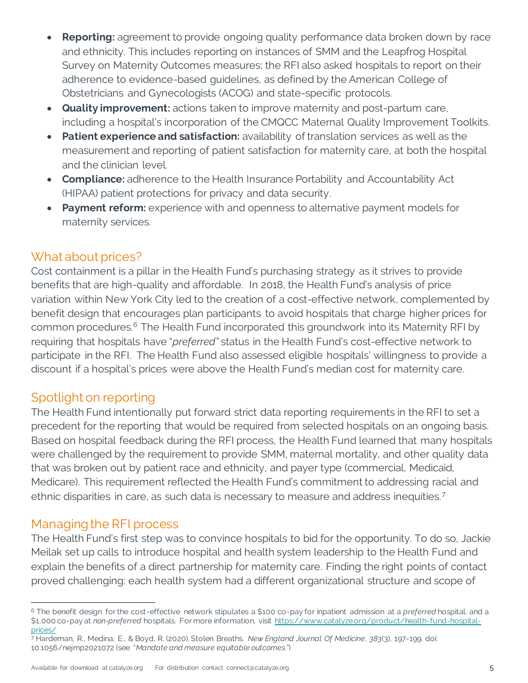- **Reporting:** agreement to provide ongoing quality performance data broken down by race and ethnicity. This includes reporting on instances of SMM and the Leapfrog Hospital Survey on Maternity Outcomes measures; the RFI also asked hospitals to report on their adherence to evidence-based guidelines, as defined by the American College of Obstetricians and Gynecologists (ACOG) and state-specific protocols.
- **Quality improvement:** actions taken to improve maternity and post-partum care, including a hospital's incorporation of the CMQCC Maternal Quality Improvement Toolkits.
- **Patient experience and satisfaction:** availability of translation services as well as the measurement and reporting of patient satisfaction for maternity care, at both the hospital and the clinician level.
- **Compliance:** adherence to the Health Insurance Portability and Accountability Act (HIPAA) patient protections for privacy and data security.
- **Payment reform:** experience with and openness to alternative payment models for maternity services.

#### What about prices?

Cost containment is a pillar in the Health Fund's purchasing strategy as it strives to provide benefits that are high-quality and affordable. In 2018, the Health Fund's analysis of price variation within New York City led to the creation of a cost-effective network, complemented by benefit design that encourages plan participants to avoid hospitals that charge higher prices for common procedures.<sup>6</sup> The Health Fund incorporated this groundwork into its Maternity RFI by requiring that hospitals have "*preferred"* status in the Health Fund's cost-effective network to participate in the RFI. The Health Fund also assessed eligible hospitals' willingness to provide a discount if a hospital's prices were above the Health Fund's median cost for maternity care.

#### Spotlight on reporting

The Health Fund intentionally put forward strict data reporting requirements in the RFI to set a precedent for the reporting that would be required from selected hospitals on an ongoing basis. Based on hospital feedback during the RFI process, the Health Fund learned that many hospitals were challenged by the requirement to provide SMM, maternal mortality, and other quality data that was broken out by patient race and ethnicity, and payer type (commercial, Medicaid, Medicare). This requirement reflected the Health Fund's commitment to addressing racial and ethnic disparities in care, as such data is necessary to measure and address inequities.<sup>7</sup>

#### Managing the RFI process

The Health Fund's first step was to convince hospitals to bid for the opportunity. To do so, Jackie Meilak set up calls to introduce hospital and health system leadership to the Health Fund and explain the benefits of a direct partnership for maternity care. Finding the right points of contact proved challenging: each health system had a different organizational structure and scope of

<sup>6</sup> The benefit design for the cost-effective network stipulates a \$100 co-pay for inpatient admission at a *preferred* hospital, and a \$1,000 co-pay at *non-preferred* hospitals. For more information, visit [https://www.catalyze.org/product/health-fund-hospital](https://www.catalyze.org/product/health-fund-hospital-prices/)[prices/](https://www.catalyze.org/product/health-fund-hospital-prices/)

<sup>7</sup> Hardeman, R., Medina, E., & Boyd, R. (2020). Stolen Breaths. *New England Journal Of Medicine*, *383*(3), 197-199. doi: 10.1056/nejmp2021072 (see "*Mandate and measure equitable outcomes.*")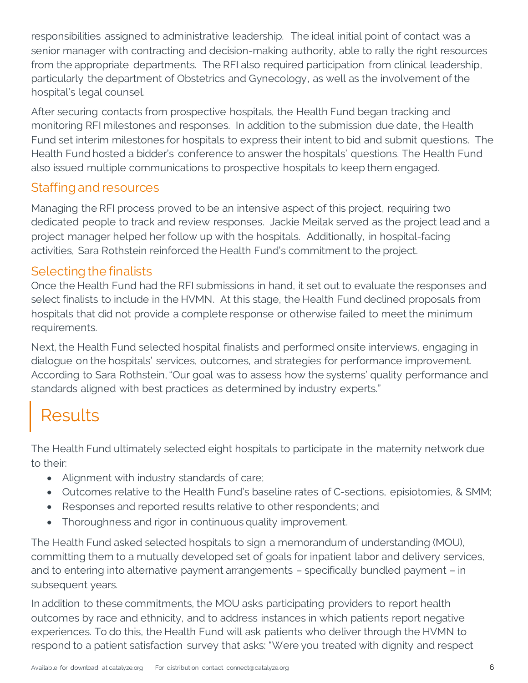responsibilities assigned to administrative leadership. The ideal initial point of contact was a senior manager with contracting and decision-making authority, able to rally the right resources from the appropriate departments. The RFI also required participation from clinical leadership, particularly the department of Obstetrics and Gynecology, as well as the involvement of the hospital's legal counsel.

After securing contacts from prospective hospitals, the Health Fund began tracking and monitoring RFI milestones and responses. In addition to the submission due date, the Health Fund set interim milestones for hospitals to express their intent to bid and submit questions. The Health Fund hosted a bidder's conference to answer the hospitals' questions. The Health Fund also issued multiple communications to prospective hospitals to keep them engaged.

#### Staffing and resources

Managing the RFI process proved to be an intensive aspect of this project, requiring two dedicated people to track and review responses. Jackie Meilak served as the project lead and a project manager helped her follow up with the hospitals. Additionally, in hospital-facing activities, Sara Rothstein reinforced the Health Fund's commitment to the project.

#### Selecting the finalists

Once the Health Fund had the RFI submissions in hand, it set out to evaluate the responses and select finalists to include in the HVMN. At this stage, the Health Fund declined proposals from hospitals that did not provide a complete response or otherwise failed to meet the minimum requirements.

Next, the Health Fund selected hospital finalists and performed onsite interviews, engaging in dialogue on the hospitals' services, outcomes, and strategies for performance improvement. According to Sara Rothstein, "Our goal was to assess how the systems' quality performance and standards aligned with best practices as determined by industry experts."

### **Results**

The Health Fund ultimately selected eight hospitals to participate in the maternity network due to their:

- Alignment with industry standards of care;
- Outcomes relative to the Health Fund's baseline rates of C-sections, episiotomies, & SMM;
- Responses and reported results relative to other respondents; and
- Thoroughness and rigor in continuous quality improvement.

The Health Fund asked selected hospitals to sign a memorandum of understanding (MOU), committing them to a mutually developed set of goals for inpatient labor and delivery services, and to entering into alternative payment arrangements – specifically bundled payment – in subsequent years.

In addition to these commitments, the MOU asks participating providers to report health outcomes by race and ethnicity, and to address instances in which patients report negative experiences. To do this, the Health Fund will ask patients who deliver through the HVMN to respond to a patient satisfaction survey that asks: "Were you treated with dignity and respect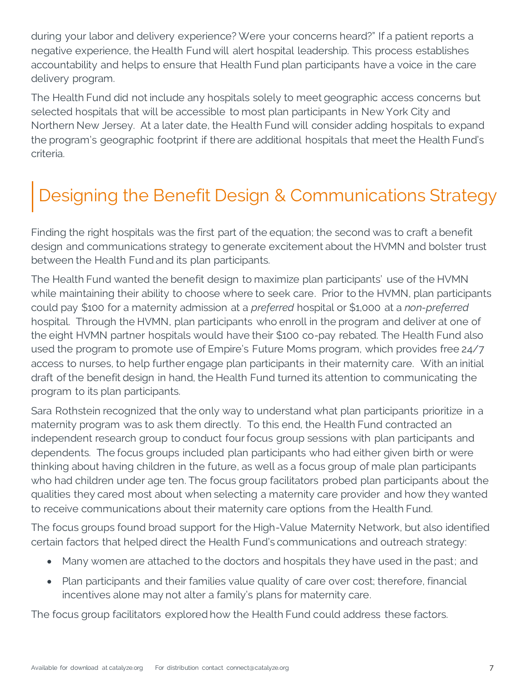during your labor and delivery experience? Were your concerns heard?" If a patient reports a negative experience, the Health Fund will alert hospital leadership. This process establishes accountability and helps to ensure that Health Fund plan participants have a voice in the care delivery program.

The Health Fund did not include any hospitals solely to meet geographic access concerns but selected hospitals that will be accessible to most plan participants in New York City and Northern New Jersey. At a later date, the Health Fund will consider adding hospitals to expand the program's geographic footprint if there are additional hospitals that meet the Health Fund's criteria.

### Designing the Benefit Design & Communications Strategy

Finding the right hospitals was the first part of the equation; the second was to craft a benefit design and communications strategy to generate excitement about the HVMN and bolster trust between the Health Fund and its plan participants.

The Health Fund wanted the benefit design to maximize plan participants' use of the HVMN while maintaining their ability to choose where to seek care. Prior to the HVMN, plan participants could pay \$100 for a maternity admission at a *preferred* hospital or \$1,000 at a *non-preferred* hospital. Through the HVMN, plan participants who enroll in the program and deliver at one of the eight HVMN partner hospitals would have their \$100 co-pay rebated. The Health Fund also used the program to promote use of Empire's Future Moms program, which provides free 24/7 access to nurses, to help further engage plan participants in their maternity care. With an initial draft of the benefit design in hand, the Health Fund turned its attention to communicating the program to its plan participants.

Sara Rothstein recognized that the only way to understand what plan participants prioritize in a maternity program was to ask them directly. To this end, the Health Fund contracted an independent research group to conduct four focus group sessions with plan participants and dependents. The focus groups included plan participants who had either given birth or were thinking about having children in the future, as well as a focus group of male plan participants who had children under age ten. The focus group facilitators probed plan participants about the qualities they cared most about when selecting a maternity care provider and how they wanted to receive communications about their maternity care options from the Health Fund.

The focus groups found broad support for the High-Value Maternity Network, but also identified certain factors that helped direct the Health Fund's communications and outreach strategy:

- Many women are attached to the doctors and hospitals they have used in the past; and
- Plan participants and their families value quality of care over cost; therefore, financial incentives alone may not alter a family's plans for maternity care.

The focus group facilitators explored how the Health Fund could address these factors.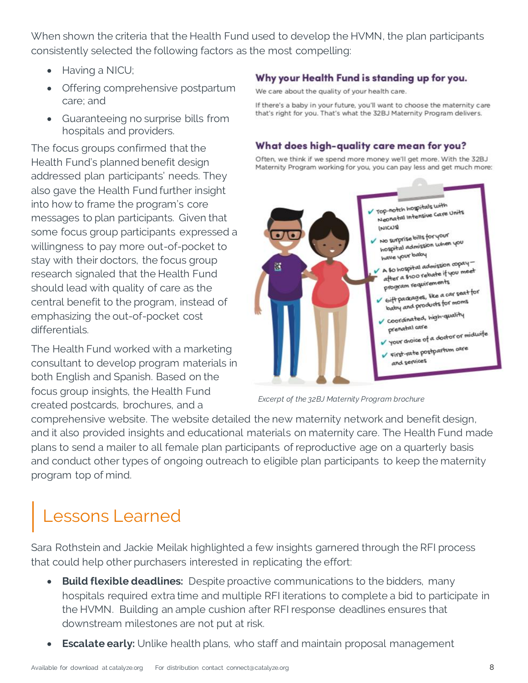When shown the criteria that the Health Fund used to develop the HVMN, the plan participants consistently selected the following factors as the most compelling:

- Having a NICU;
- Offering comprehensive postpartum care; and
- Guaranteeing no surprise bills from hospitals and providers.

The focus groups confirmed that the Health Fund's planned benefit design addressed plan participants' needs. They also gave the Health Fund further insight into how to frame the program's core messages to plan participants. Given that some focus group participants expressed a willingness to pay more out-of-pocket to stay with their doctors, the focus group research signaled that the Health Fund should lead with quality of care as the central benefit to the program, instead of emphasizing the out-of-pocket cost differentials.

The Health Fund worked with a marketing consultant to develop program materials in both English and Spanish. Based on the focus group insights, the Health Fund created postcards, brochures, and a

#### Why your Health Fund is standing up for you.

We care about the quality of your health care.

If there's a baby in your future, you'll want to choose the maternity care that's right for you. That's what the 32BJ Maternity Program delivers.

#### What does high-quality care mean for you?

Often, we think if we spend more money we'll get more. With the 32BJ Maternity Program working for you, you can pay less and get much more:



*Excerpt of the 32BJ Maternity Program brochure*

comprehensive website. The website detailed the new maternity network and benefit design, and it also provided insights and educational materials on maternity care. The Health Fund made plans to send a mailer to all female plan participants of reproductive age on a quarterly basis and conduct other types of ongoing outreach to eligible plan participants to keep the maternity program top of mind.

## Lessons Learned

Sara Rothstein and Jackie Meilak highlighted a few insights garnered through the RFI process that could help other purchasers interested in replicating the effort:

- **Build flexible deadlines:** Despite proactive communications to the bidders, many hospitals required extra time and multiple RFI iterations to complete a bid to participate in the HVMN. Building an ample cushion after RFI response deadlines ensures that downstream milestones are not put at risk.
- **Escalate early:** Unlike health plans, who staff and maintain proposal management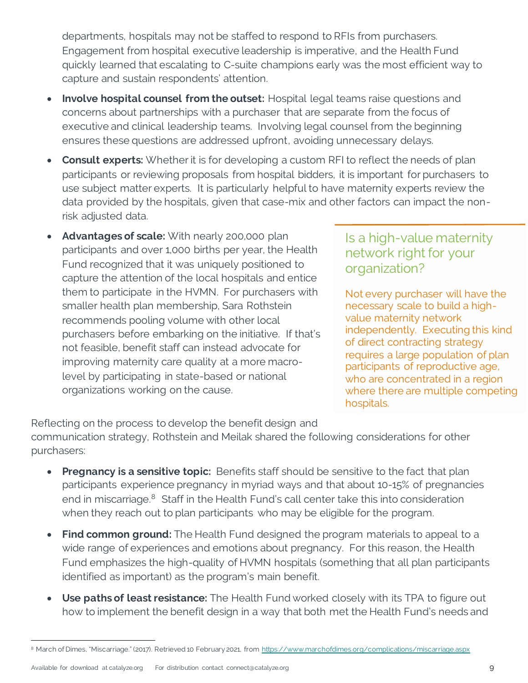departments, hospitals may not be staffed to respond to RFIs from purchasers. Engagement from hospital executive leadership is imperative, and the Health Fund quickly learned that escalating to C-suite champions early was the most efficient way to capture and sustain respondents' attention.

- **Involve hospital counsel from the outset:** Hospital legal teams raise questions and concerns about partnerships with a purchaser that are separate from the focus of executive and clinical leadership teams. Involving legal counsel from the beginning ensures these questions are addressed upfront, avoiding unnecessary delays.
- **Consult experts:** Whether it is for developing a custom RFI to reflect the needs of plan participants or reviewing proposals from hospital bidders, it is important for purchasers to use subject matter experts. It is particularly helpful to have maternity experts review the data provided by the hospitals, given that case-mix and other factors can impact the nonrisk adjusted data.
- **Advantages of scale:** With nearly 200,000 plan participants and over 1,000 births per year, the Health Fund recognized that it was uniquely positioned to capture the attention of the local hospitals and entice them to participate in the HVMN. For purchasers with smaller health plan membership, Sara Rothstein recommends pooling volume with other local purchasers before embarking on the initiative. If that's not feasible, benefit staff can instead advocate for improving maternity care quality at a more macrolevel by participating in state-based or national organizations working on the cause.

#### Is a high-value maternity network right for your organization?

Not every purchaser will have the necessary scale to build a highvalue maternity network independently. Executing this kind of direct contracting strategy requires a large population of plan participants of reproductive age, who are concentrated in a region where there are multiple competing hospitals.

Reflecting on the process to develop the benefit design and communication strategy, Rothstein and Meilak shared the following considerations for other purchasers:

- **Pregnancy is a sensitive topic:** Benefits staff should be sensitive to the fact that plan participants experience pregnancy in myriad ways and that about 10-15% of pregnancies end in miscarriage.<sup>8</sup> Staff in the Health Fund's call center take this into consideration when they reach out to plan participants who may be eligible for the program.
- **Find common ground:** The Health Fund designed the program materials to appeal to a wide range of experiences and emotions about pregnancy. For this reason, the Health Fund emphasizes the high-quality of HVMN hospitals (something that all plan participants identified as important) as the program's main benefit.
- **Use paths of least resistance:** The Health Fund worked closely with its TPA to figure out how to implement the benefit design in a way that both met the Health Fund's needs and

<sup>8</sup> March of Dimes, "Miscarriage." (2017). Retrieved 10 February 2021, from [https://www.marchofdimes.org/complications/miscarriage.aspx](https://www.nydailynews.com/opinion/ny-oped-what-we-learned-about-childbirth-20200310-i4sz34hrtnhmfnthr2ed4qtt6m-story.html)